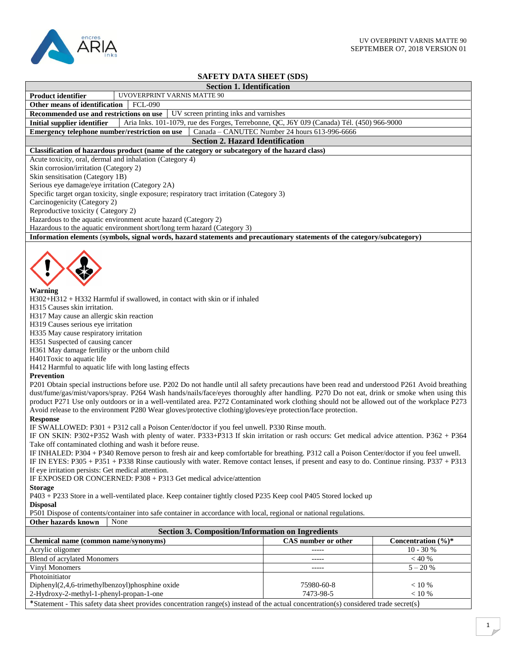

## **SAFETY DATA SHEET (SDS)**

| SAFEI Y DATA SHEEI (SDS)                                                                                                                                                                                                                                                                                                                                                                                                                                                                                                                                                                                                                                                                                                                                                                                                                                                                                                                                                                                                                                                                                                                                                                                                                                                                                                                                                                                                                                                                                                                                                                                                                                                                                                                                                                                                                                                                                                                                                                                                                                                    |                                               |                    |
|-----------------------------------------------------------------------------------------------------------------------------------------------------------------------------------------------------------------------------------------------------------------------------------------------------------------------------------------------------------------------------------------------------------------------------------------------------------------------------------------------------------------------------------------------------------------------------------------------------------------------------------------------------------------------------------------------------------------------------------------------------------------------------------------------------------------------------------------------------------------------------------------------------------------------------------------------------------------------------------------------------------------------------------------------------------------------------------------------------------------------------------------------------------------------------------------------------------------------------------------------------------------------------------------------------------------------------------------------------------------------------------------------------------------------------------------------------------------------------------------------------------------------------------------------------------------------------------------------------------------------------------------------------------------------------------------------------------------------------------------------------------------------------------------------------------------------------------------------------------------------------------------------------------------------------------------------------------------------------------------------------------------------------------------------------------------------------|-----------------------------------------------|--------------------|
| <b>Section 1. Identification</b>                                                                                                                                                                                                                                                                                                                                                                                                                                                                                                                                                                                                                                                                                                                                                                                                                                                                                                                                                                                                                                                                                                                                                                                                                                                                                                                                                                                                                                                                                                                                                                                                                                                                                                                                                                                                                                                                                                                                                                                                                                            |                                               |                    |
| UVOVERPRINT VARNIS MATTE 90<br><b>Product identifier</b>                                                                                                                                                                                                                                                                                                                                                                                                                                                                                                                                                                                                                                                                                                                                                                                                                                                                                                                                                                                                                                                                                                                                                                                                                                                                                                                                                                                                                                                                                                                                                                                                                                                                                                                                                                                                                                                                                                                                                                                                                    |                                               |                    |
| Other means of identification<br><b>FCL-090</b>                                                                                                                                                                                                                                                                                                                                                                                                                                                                                                                                                                                                                                                                                                                                                                                                                                                                                                                                                                                                                                                                                                                                                                                                                                                                                                                                                                                                                                                                                                                                                                                                                                                                                                                                                                                                                                                                                                                                                                                                                             |                                               |                    |
| Recommended use and restrictions on use<br>UV screen printing inks and varnishes                                                                                                                                                                                                                                                                                                                                                                                                                                                                                                                                                                                                                                                                                                                                                                                                                                                                                                                                                                                                                                                                                                                                                                                                                                                                                                                                                                                                                                                                                                                                                                                                                                                                                                                                                                                                                                                                                                                                                                                            |                                               |                    |
| Aria Inks. 101-1079, rue des Forges, Terrebonne, QC, J6Y 0J9 (Canada) Tél. (450) 966-9000<br><b>Initial supplier identifier</b>                                                                                                                                                                                                                                                                                                                                                                                                                                                                                                                                                                                                                                                                                                                                                                                                                                                                                                                                                                                                                                                                                                                                                                                                                                                                                                                                                                                                                                                                                                                                                                                                                                                                                                                                                                                                                                                                                                                                             |                                               |                    |
| Emergency telephone number/restriction on use                                                                                                                                                                                                                                                                                                                                                                                                                                                                                                                                                                                                                                                                                                                                                                                                                                                                                                                                                                                                                                                                                                                                                                                                                                                                                                                                                                                                                                                                                                                                                                                                                                                                                                                                                                                                                                                                                                                                                                                                                               | Canada - CANUTEC Number 24 hours 613-996-6666 |                    |
| <b>Section 2. Hazard Identification</b>                                                                                                                                                                                                                                                                                                                                                                                                                                                                                                                                                                                                                                                                                                                                                                                                                                                                                                                                                                                                                                                                                                                                                                                                                                                                                                                                                                                                                                                                                                                                                                                                                                                                                                                                                                                                                                                                                                                                                                                                                                     |                                               |                    |
| Classification of hazardous product (name of the category or subcategory of the hazard class)                                                                                                                                                                                                                                                                                                                                                                                                                                                                                                                                                                                                                                                                                                                                                                                                                                                                                                                                                                                                                                                                                                                                                                                                                                                                                                                                                                                                                                                                                                                                                                                                                                                                                                                                                                                                                                                                                                                                                                               |                                               |                    |
| Acute toxicity, oral, dermal and inhalation (Category 4)                                                                                                                                                                                                                                                                                                                                                                                                                                                                                                                                                                                                                                                                                                                                                                                                                                                                                                                                                                                                                                                                                                                                                                                                                                                                                                                                                                                                                                                                                                                                                                                                                                                                                                                                                                                                                                                                                                                                                                                                                    |                                               |                    |
| Skin corrosion/irritation (Category 2)                                                                                                                                                                                                                                                                                                                                                                                                                                                                                                                                                                                                                                                                                                                                                                                                                                                                                                                                                                                                                                                                                                                                                                                                                                                                                                                                                                                                                                                                                                                                                                                                                                                                                                                                                                                                                                                                                                                                                                                                                                      |                                               |                    |
| Skin sensitisation (Category 1B)                                                                                                                                                                                                                                                                                                                                                                                                                                                                                                                                                                                                                                                                                                                                                                                                                                                                                                                                                                                                                                                                                                                                                                                                                                                                                                                                                                                                                                                                                                                                                                                                                                                                                                                                                                                                                                                                                                                                                                                                                                            |                                               |                    |
| Serious eye damage/eye irritation (Category 2A)                                                                                                                                                                                                                                                                                                                                                                                                                                                                                                                                                                                                                                                                                                                                                                                                                                                                                                                                                                                                                                                                                                                                                                                                                                                                                                                                                                                                                                                                                                                                                                                                                                                                                                                                                                                                                                                                                                                                                                                                                             |                                               |                    |
| Specific target organ toxicity, single exposure; respiratory tract irritation (Category 3)                                                                                                                                                                                                                                                                                                                                                                                                                                                                                                                                                                                                                                                                                                                                                                                                                                                                                                                                                                                                                                                                                                                                                                                                                                                                                                                                                                                                                                                                                                                                                                                                                                                                                                                                                                                                                                                                                                                                                                                  |                                               |                    |
| Carcinogenicity (Category 2)                                                                                                                                                                                                                                                                                                                                                                                                                                                                                                                                                                                                                                                                                                                                                                                                                                                                                                                                                                                                                                                                                                                                                                                                                                                                                                                                                                                                                                                                                                                                                                                                                                                                                                                                                                                                                                                                                                                                                                                                                                                |                                               |                    |
| Reproductive toxicity (Category 2)                                                                                                                                                                                                                                                                                                                                                                                                                                                                                                                                                                                                                                                                                                                                                                                                                                                                                                                                                                                                                                                                                                                                                                                                                                                                                                                                                                                                                                                                                                                                                                                                                                                                                                                                                                                                                                                                                                                                                                                                                                          |                                               |                    |
| Hazardous to the aquatic environment acute hazard (Category 2)                                                                                                                                                                                                                                                                                                                                                                                                                                                                                                                                                                                                                                                                                                                                                                                                                                                                                                                                                                                                                                                                                                                                                                                                                                                                                                                                                                                                                                                                                                                                                                                                                                                                                                                                                                                                                                                                                                                                                                                                              |                                               |                    |
| Hazardous to the aquatic environment short/long term hazard (Category 3)                                                                                                                                                                                                                                                                                                                                                                                                                                                                                                                                                                                                                                                                                                                                                                                                                                                                                                                                                                                                                                                                                                                                                                                                                                                                                                                                                                                                                                                                                                                                                                                                                                                                                                                                                                                                                                                                                                                                                                                                    |                                               |                    |
| Information elements (symbols, signal words, hazard statements and precautionary statements of the category/subcategory)                                                                                                                                                                                                                                                                                                                                                                                                                                                                                                                                                                                                                                                                                                                                                                                                                                                                                                                                                                                                                                                                                                                                                                                                                                                                                                                                                                                                                                                                                                                                                                                                                                                                                                                                                                                                                                                                                                                                                    |                                               |                    |
| Warning<br>H302+H312 + H332 Harmful if swallowed, in contact with skin or if inhaled<br>H315 Causes skin irritation.<br>H317 May cause an allergic skin reaction<br>H319 Causes serious eye irritation<br>H335 May cause respiratory irritation<br>H351 Suspected of causing cancer<br>H361 May damage fertility or the unborn child<br>H401Toxic to aquatic life<br>H412 Harmful to aquatic life with long lasting effects<br>Prevention<br>P201 Obtain special instructions before use. P202 Do not handle until all safety precautions have been read and understood P261 Avoid breathing<br>dust/fume/gas/mist/vapors/spray. P264 Wash hands/nails/face/eyes thoroughly after handling. P270 Do not eat, drink or smoke when using this<br>product P271 Use only outdoors or in a well-ventilated area. P272 Contaminated work clothing should not be allowed out of the workplace P273<br>Avoid release to the environment P280 Wear gloves/protective clothing/gloves/eye protection/face protection.<br><b>Response</b><br>IF SWALLOWED: P301 + P312 call a Poison Center/doctor if you feel unwell. P330 Rinse mouth.<br>IF ON SKIN: P302+P352 Wash with plenty of water. P333+P313 If skin irritation or rash occurs: Get medical advice attention. P362 + P364<br>Take off contaminated clothing and wash it before reuse.<br>IF INHALED: P304 + P340 Remove person to fresh air and keep comfortable for breathing. P312 call a Poison Center/doctor if you feel unwell.<br>IF IN EYES: P305 + P351 + P338 Rinse cautiously with water. Remove contact lenses, if present and easy to do. Continue rinsing. P337 + P313<br>If eye irritation persists: Get medical attention.<br>IF EXPOSED OR CONCERNED: P308 + P313 Get medical advice/attention<br><b>Storage</b><br>P403 + P233 Store in a well-ventilated place. Keep container tightly closed P235 Keep cool P405 Stored locked up<br><b>Disposal</b><br>P501 Dispose of contents/container into safe container in accordance with local, regional or national regulations.<br>Other hazards known<br>None |                                               |                    |
| <b>Section 3. Composition/Information on Ingredients</b><br>Chemical name (common name/synonyms)                                                                                                                                                                                                                                                                                                                                                                                                                                                                                                                                                                                                                                                                                                                                                                                                                                                                                                                                                                                                                                                                                                                                                                                                                                                                                                                                                                                                                                                                                                                                                                                                                                                                                                                                                                                                                                                                                                                                                                            | CAS number or other                           | Concentration (%)* |
| Acrylic oligomer                                                                                                                                                                                                                                                                                                                                                                                                                                                                                                                                                                                                                                                                                                                                                                                                                                                                                                                                                                                                                                                                                                                                                                                                                                                                                                                                                                                                                                                                                                                                                                                                                                                                                                                                                                                                                                                                                                                                                                                                                                                            | -----                                         | $10 - 30 %$        |
| <b>Blend of acrylated Monomers</b>                                                                                                                                                                                                                                                                                                                                                                                                                                                                                                                                                                                                                                                                                                                                                                                                                                                                                                                                                                                                                                                                                                                                                                                                                                                                                                                                                                                                                                                                                                                                                                                                                                                                                                                                                                                                                                                                                                                                                                                                                                          | -----                                         | $<40%$             |
| Vinyl Monomers                                                                                                                                                                                                                                                                                                                                                                                                                                                                                                                                                                                                                                                                                                                                                                                                                                                                                                                                                                                                                                                                                                                                                                                                                                                                                                                                                                                                                                                                                                                                                                                                                                                                                                                                                                                                                                                                                                                                                                                                                                                              | -----                                         | $5 - 20 %$         |
| Photoinitiator                                                                                                                                                                                                                                                                                                                                                                                                                                                                                                                                                                                                                                                                                                                                                                                                                                                                                                                                                                                                                                                                                                                                                                                                                                                                                                                                                                                                                                                                                                                                                                                                                                                                                                                                                                                                                                                                                                                                                                                                                                                              |                                               |                    |
|                                                                                                                                                                                                                                                                                                                                                                                                                                                                                                                                                                                                                                                                                                                                                                                                                                                                                                                                                                                                                                                                                                                                                                                                                                                                                                                                                                                                                                                                                                                                                                                                                                                                                                                                                                                                                                                                                                                                                                                                                                                                             | 75980-60-8                                    | < 10 %             |
| $Diphenyl(2,4,6-trimethylbenzoyl)phosphine oxide$<br>2-Hydroxy-2-methyl-1-phenyl-propan-1-one                                                                                                                                                                                                                                                                                                                                                                                                                                                                                                                                                                                                                                                                                                                                                                                                                                                                                                                                                                                                                                                                                                                                                                                                                                                                                                                                                                                                                                                                                                                                                                                                                                                                                                                                                                                                                                                                                                                                                                               | 7473-98-5                                     | < 10 %             |
| *Statement - This safety data sheet provides concentration range(s) instead of the actual concentration(s) considered trade secret(s)                                                                                                                                                                                                                                                                                                                                                                                                                                                                                                                                                                                                                                                                                                                                                                                                                                                                                                                                                                                                                                                                                                                                                                                                                                                                                                                                                                                                                                                                                                                                                                                                                                                                                                                                                                                                                                                                                                                                       |                                               |                    |
|                                                                                                                                                                                                                                                                                                                                                                                                                                                                                                                                                                                                                                                                                                                                                                                                                                                                                                                                                                                                                                                                                                                                                                                                                                                                                                                                                                                                                                                                                                                                                                                                                                                                                                                                                                                                                                                                                                                                                                                                                                                                             |                                               |                    |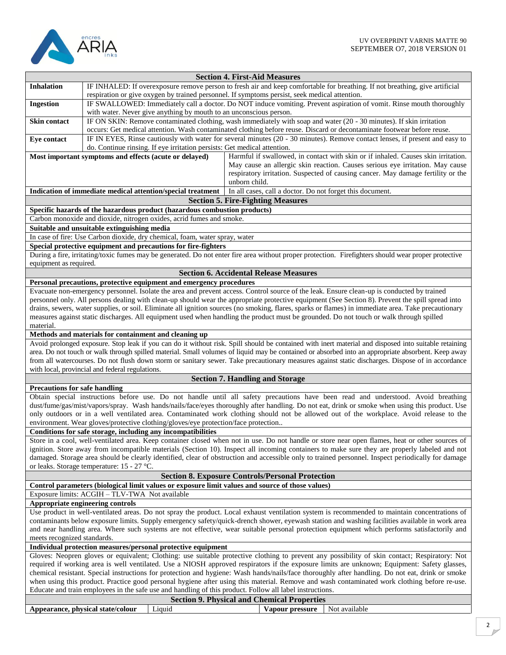

|                                                                                                                                                  | <b>Section 4. First-Aid Measures</b>                                                                                                                                                                                                                                                                    |  |
|--------------------------------------------------------------------------------------------------------------------------------------------------|---------------------------------------------------------------------------------------------------------------------------------------------------------------------------------------------------------------------------------------------------------------------------------------------------------|--|
| <b>Inhalation</b>                                                                                                                                | IF INHALED: If overexposure remove person to fresh air and keep comfortable for breathing. If not breathing, give artificial                                                                                                                                                                            |  |
|                                                                                                                                                  | respiration or give oxygen by trained personnel. If symptoms persist, seek medical attention.                                                                                                                                                                                                           |  |
| <b>Ingestion</b>                                                                                                                                 | IF SWALLOWED: Immediately call a doctor. Do NOT induce vomiting. Prevent aspiration of vomit. Rinse mouth thoroughly                                                                                                                                                                                    |  |
|                                                                                                                                                  | with water. Never give anything by mouth to an unconscious person.                                                                                                                                                                                                                                      |  |
| Skin contact                                                                                                                                     | IF ON SKIN: Remove contaminated clothing, wash immediately with soap and water (20 - 30 minutes). If skin irritation                                                                                                                                                                                    |  |
|                                                                                                                                                  | occurs: Get medical attention. Wash contaminated clothing before reuse. Discard or decontaminate footwear before reuse.                                                                                                                                                                                 |  |
| Eye contact                                                                                                                                      | IF IN EYES, Rinse cautiously with water for several minutes (20 - 30 minutes). Remove contact lenses, if present and easy to                                                                                                                                                                            |  |
|                                                                                                                                                  | do. Continue rinsing. If eye irritation persists: Get medical attention.                                                                                                                                                                                                                                |  |
|                                                                                                                                                  | Most important symptoms and effects (acute or delayed)<br>Harmful if swallowed, in contact with skin or if inhaled. Causes skin irritation.                                                                                                                                                             |  |
|                                                                                                                                                  | May cause an allergic skin reaction. Causes serious eye irritation. May cause                                                                                                                                                                                                                           |  |
|                                                                                                                                                  | respiratory irritation. Suspected of causing cancer. May damage fertility or the                                                                                                                                                                                                                        |  |
|                                                                                                                                                  | unborn child.                                                                                                                                                                                                                                                                                           |  |
|                                                                                                                                                  | In all cases, call a doctor. Do not forget this document.<br>Indication of immediate medical attention/special treatment                                                                                                                                                                                |  |
|                                                                                                                                                  | <b>Section 5. Fire-Fighting Measures</b>                                                                                                                                                                                                                                                                |  |
|                                                                                                                                                  | Specific hazards of the hazardous product (hazardous combustion products)                                                                                                                                                                                                                               |  |
|                                                                                                                                                  | Carbon monoxide and dioxide, nitrogen oxides, acrid fumes and smoke.                                                                                                                                                                                                                                    |  |
|                                                                                                                                                  | Suitable and unsuitable extinguishing media                                                                                                                                                                                                                                                             |  |
|                                                                                                                                                  | In case of fire: Use Carbon dioxide, dry chemical, foam, water spray, water                                                                                                                                                                                                                             |  |
|                                                                                                                                                  | Special protective equipment and precautions for fire-fighters                                                                                                                                                                                                                                          |  |
|                                                                                                                                                  | During a fire, irritating/toxic fumes may be generated. Do not enter fire area without proper protection. Firefighters should wear proper protective                                                                                                                                                    |  |
| equipment as required.                                                                                                                           |                                                                                                                                                                                                                                                                                                         |  |
|                                                                                                                                                  | <b>Section 6. Accidental Release Measures</b>                                                                                                                                                                                                                                                           |  |
|                                                                                                                                                  | Personal precautions, protective equipment and emergency procedures                                                                                                                                                                                                                                     |  |
|                                                                                                                                                  | Evacuate non-emergency personnel. Isolate the area and prevent access. Control source of the leak. Ensure clean-up is conducted by trained                                                                                                                                                              |  |
|                                                                                                                                                  | personnel only. All persons dealing with clean-up should wear the appropriate protective equipment (See Section 8). Prevent the spill spread into                                                                                                                                                       |  |
|                                                                                                                                                  | drains, sewers, water supplies, or soil. Eliminate all ignition sources (no smoking, flares, sparks or flames) in immediate area. Take precautionary                                                                                                                                                    |  |
|                                                                                                                                                  | measures against static discharges. All equipment used when handling the product must be grounded. Do not touch or walk through spilled                                                                                                                                                                 |  |
| material.                                                                                                                                        |                                                                                                                                                                                                                                                                                                         |  |
|                                                                                                                                                  | Methods and materials for containment and cleaning up                                                                                                                                                                                                                                                   |  |
|                                                                                                                                                  | Avoid prolonged exposure. Stop leak if you can do it without risk. Spill should be contained with inert material and disposed into suitable retaining                                                                                                                                                   |  |
|                                                                                                                                                  | area. Do not touch or walk through spilled material. Small volumes of liquid may be contained or absorbed into an appropriate absorbent. Keep away<br>from all watercourses. Do not flush down storm or sanitary sewer. Take precautionary measures against static discharges. Dispose of in accordance |  |
|                                                                                                                                                  | with local, provincial and federal regulations.                                                                                                                                                                                                                                                         |  |
|                                                                                                                                                  | <b>Section 7. Handling and Storage</b>                                                                                                                                                                                                                                                                  |  |
| <b>Precautions for safe handling</b>                                                                                                             |                                                                                                                                                                                                                                                                                                         |  |
|                                                                                                                                                  | Obtain special instructions before use. Do not handle until all safety precautions have been read and understood. Avoid breathing                                                                                                                                                                       |  |
|                                                                                                                                                  | dust/fume/gas/mist/vapors/spray. Wash hands/nails/face/eyes thoroughly after handling. Do not eat, drink or smoke when using this product. Use                                                                                                                                                          |  |
|                                                                                                                                                  | only outdoors or in a well ventilated area. Contaminated work clothing should not be allowed out of the workplace. Avoid release to the                                                                                                                                                                 |  |
|                                                                                                                                                  | environment. Wear gloves/protective clothing/gloves/eye protection/face protection                                                                                                                                                                                                                      |  |
|                                                                                                                                                  | Conditions for safe storage, including any incompatibilities                                                                                                                                                                                                                                            |  |
|                                                                                                                                                  | Store in a cool, well-ventilated area. Keep container closed when not in use. Do not handle or store near open flames, heat or other sources of                                                                                                                                                         |  |
|                                                                                                                                                  | ignition. Store away from incompatible materials (Section 10). Inspect all incoming containers to make sure they are properly labeled and not                                                                                                                                                           |  |
|                                                                                                                                                  | damaged. Storage area should be clearly identified, clear of obstruction and accessible only to trained personnel. Inspect periodically for damage                                                                                                                                                      |  |
|                                                                                                                                                  | or leaks. Storage temperature: 15 - 27 °C.                                                                                                                                                                                                                                                              |  |
|                                                                                                                                                  | <b>Section 8. Exposure Controls/Personal Protection</b>                                                                                                                                                                                                                                                 |  |
|                                                                                                                                                  | Control parameters (biological limit values or exposure limit values and source of those values)                                                                                                                                                                                                        |  |
|                                                                                                                                                  | Exposure limits: ACGIH - TLV-TWA Not available                                                                                                                                                                                                                                                          |  |
|                                                                                                                                                  | Appropriate engineering controls                                                                                                                                                                                                                                                                        |  |
|                                                                                                                                                  | Use product in well-ventilated areas. Do not spray the product. Local exhaust ventilation system is recommended to maintain concentrations of                                                                                                                                                           |  |
|                                                                                                                                                  | contaminants below exposure limits. Supply emergency safety/quick-drench shower, eyewash station and washing facilities available in work area                                                                                                                                                          |  |
|                                                                                                                                                  | and near handling area. Where such systems are not effective, wear suitable personal protection equipment which performs satisfactorily and                                                                                                                                                             |  |
| meets recognized standards.                                                                                                                      |                                                                                                                                                                                                                                                                                                         |  |
| Individual protection measures/personal protective equipment                                                                                     |                                                                                                                                                                                                                                                                                                         |  |
| Gloves: Neopren gloves or equivalent; Clothing: use suitable protective clothing to prevent any possibility of skin contact; Respiratory: Not    |                                                                                                                                                                                                                                                                                                         |  |
| required if working area is well ventilated. Use a NIOSH approved respirators if the exposure limits are unknown; Equipment: Safety glasses,     |                                                                                                                                                                                                                                                                                                         |  |
| chemical resistant. Special instructions for protection and hygiene: Wash hands/nails/face thoroughly after handling. Do not eat, drink or smoke |                                                                                                                                                                                                                                                                                                         |  |
|                                                                                                                                                  | when using this product. Practice good personal hygiene after using this material. Remove and wash contaminated work clothing before re-use.                                                                                                                                                            |  |
|                                                                                                                                                  | Educate and train employees in the safe use and handling of this product. Follow all label instructions.                                                                                                                                                                                                |  |
| <b>Section 9. Physical and Chemical Properties</b>                                                                                               |                                                                                                                                                                                                                                                                                                         |  |
|                                                                                                                                                  | Not available<br>Appearance, physical state/colour<br>Liquid<br>Vapour pressure                                                                                                                                                                                                                         |  |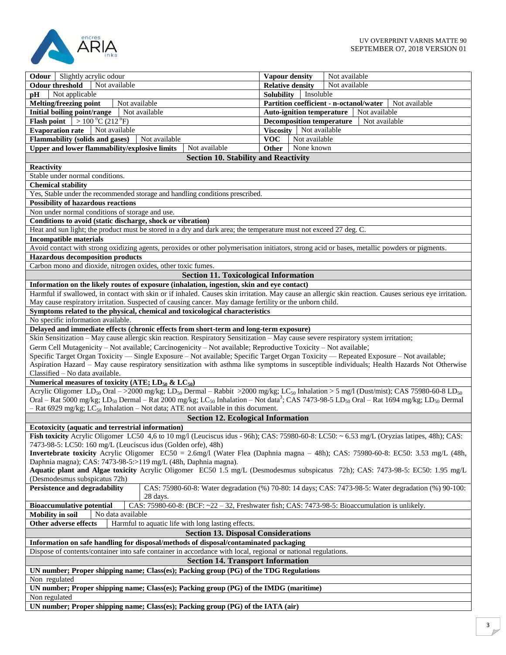

| <b>Odour</b> Slightly acrylic odour                                                                                                                                                                                                                      | Not available<br>Vapour density                                                                      |  |
|----------------------------------------------------------------------------------------------------------------------------------------------------------------------------------------------------------------------------------------------------------|------------------------------------------------------------------------------------------------------|--|
| Not available<br><b>Odour threshold</b>                                                                                                                                                                                                                  | <b>Relative density</b><br>Not available                                                             |  |
| Not applicable<br><b>DH</b>                                                                                                                                                                                                                              | <b>Solubility</b><br>Insoluble                                                                       |  |
| Melting/freezing point<br>Not available                                                                                                                                                                                                                  | Partition coefficient - n-octanol/water<br>Not available                                             |  |
| Initial boiling point/range<br>Not available                                                                                                                                                                                                             | <b>Auto-ignition temperature</b><br>Not available                                                    |  |
| <b>Flash point</b><br>$>100\,^{\circ}$ C (212 $^{\circ}$ F)                                                                                                                                                                                              | <b>Decomposition temperature</b><br>Not available                                                    |  |
| <b>Evaporation rate</b><br>Not available                                                                                                                                                                                                                 | Viscosity Not available                                                                              |  |
| Flammability (solids and gases)<br>Not available                                                                                                                                                                                                         | <b>VOC</b><br>Not available                                                                          |  |
| Not available<br>Upper and lower flammability/explosive limits                                                                                                                                                                                           | None known<br>Other                                                                                  |  |
|                                                                                                                                                                                                                                                          |                                                                                                      |  |
| <b>Section 10. Stability and Reactivity</b>                                                                                                                                                                                                              |                                                                                                      |  |
| Reactivity                                                                                                                                                                                                                                               |                                                                                                      |  |
| Stable under normal conditions.                                                                                                                                                                                                                          |                                                                                                      |  |
| <b>Chemical stability</b>                                                                                                                                                                                                                                |                                                                                                      |  |
| Yes, Stable under the recommended storage and handling conditions prescribed.                                                                                                                                                                            |                                                                                                      |  |
| <b>Possibility of hazardous reactions</b>                                                                                                                                                                                                                |                                                                                                      |  |
| Non under normal conditions of storage and use.                                                                                                                                                                                                          |                                                                                                      |  |
| Conditions to avoid (static discharge, shock or vibration)                                                                                                                                                                                               |                                                                                                      |  |
| Heat and sun light; the product must be stored in a dry and dark area; the temperature must not exceed 27 deg. C.                                                                                                                                        |                                                                                                      |  |
| <b>Incompatible materials</b>                                                                                                                                                                                                                            |                                                                                                      |  |
| Avoid contact with strong oxidizing agents, peroxides or other polymerisation initiators, strong acid or bases, metallic powders or pigments.                                                                                                            |                                                                                                      |  |
| <b>Hazardous decomposition products</b>                                                                                                                                                                                                                  |                                                                                                      |  |
| Carbon mono and dioxide, nitrogen oxides, other toxic fumes.                                                                                                                                                                                             |                                                                                                      |  |
| <b>Section 11. Toxicological Information</b>                                                                                                                                                                                                             |                                                                                                      |  |
| Information on the likely routes of exposure (inhalation, ingestion, skin and eye contact)                                                                                                                                                               |                                                                                                      |  |
| Harmful if swallowed, in contact with skin or if inhaled. Causes skin irritation. May cause an allergic skin reaction. Causes serious eye irritation.                                                                                                    |                                                                                                      |  |
| May cause respiratory irritation. Suspected of causing cancer. May damage fertility or the unborn child.                                                                                                                                                 |                                                                                                      |  |
| Symptoms related to the physical, chemical and toxicological characteristics                                                                                                                                                                             |                                                                                                      |  |
| No specific information available.                                                                                                                                                                                                                       |                                                                                                      |  |
| Delayed and immediate effects (chronic effects from short-term and long-term exposure)                                                                                                                                                                   |                                                                                                      |  |
| Skin Sensitization - May cause allergic skin reaction. Respiratory Sensitization - May cause severe respiratory system irritation;                                                                                                                       |                                                                                                      |  |
|                                                                                                                                                                                                                                                          |                                                                                                      |  |
| Germ Cell Mutagenicity - Not available; Carcinogenicity - Not available; Reproductive Toxicity - Not available;<br>Specific Target Organ Toxicity — Single Exposure - Not available; Specific Target Organ Toxicity — Repeated Exposure - Not available; |                                                                                                      |  |
| Aspiration Hazard - May cause respiratory sensitization with asthma like symptoms in susceptible individuals; Health Hazards Not Otherwise                                                                                                               |                                                                                                      |  |
| Classified - No data available.                                                                                                                                                                                                                          |                                                                                                      |  |
| Numerical measures of toxicity (ATE; $LD_{50}$ & $LC_{50}$ )                                                                                                                                                                                             |                                                                                                      |  |
| Acrylic Oligomer LD <sub>50</sub> Oral ->2000 mg/kg; LD <sub>50</sub> Dermal - Rabbit >2000 mg/kg; LC <sub>50</sub> Inhalation > 5 mg/l (Dust/mist); CAS 75980-60-8 LD <sub>50</sub>                                                                     |                                                                                                      |  |
|                                                                                                                                                                                                                                                          |                                                                                                      |  |
| Oral – Rat 5000 mg/kg; LD <sub>50</sub> Dermal – Rat 2000 mg/kg; LC <sub>50</sub> Inhalation – Not data <sup>3</sup> ; CAS 7473-98-5 LD <sub>50</sub> Oral – Rat 1694 mg/kg; LD <sub>50</sub> Dermal                                                     |                                                                                                      |  |
| $-$ Rat 6929 mg/kg; LC <sub>50</sub> Inhalation $-$ Not data; ATE not available in this document.                                                                                                                                                        |                                                                                                      |  |
| <b>Section 12. Ecological Information</b>                                                                                                                                                                                                                |                                                                                                      |  |
| Ecotoxicity (aquatic and terrestrial information)                                                                                                                                                                                                        |                                                                                                      |  |
| Fish toxicity Acrylic Oligomer LC50 4,6 to 10 mg/l (Leuciscus idus - 96h); CAS: 75980-60-8: LC50: ~ 6.53 mg/L (Oryzias latipes, 48h); CAS:                                                                                                               |                                                                                                      |  |
| 7473-98-5: LC50: 160 mg/L (Leuciscus idus (Golden orfe), 48h)                                                                                                                                                                                            |                                                                                                      |  |
| Invertebrate toxicity Acrylic Oligomer EC50 = 2.6mg/l (Water Flea (Daphnia magna - 48h); CAS: 75980-60-8: EC50: 3.53 mg/L (48h,                                                                                                                          |                                                                                                      |  |
| Daphnia magna); CAS: 7473-98-5:>119 mg/L (48h, Daphnia magna).                                                                                                                                                                                           |                                                                                                      |  |
| Aquatic plant and Algae toxicity Acrylic Oligomer EC50 1.5 mg/L (Desmodesmus subspicatus 72h); CAS: 7473-98-5: EC50: 1.95 mg/L                                                                                                                           |                                                                                                      |  |
| (Desmodesmus subspicatus 72h)                                                                                                                                                                                                                            |                                                                                                      |  |
| <b>Persistence and degradability</b>                                                                                                                                                                                                                     | CAS: 75980-60-8: Water degradation (%) 70-80: 14 days; CAS: 7473-98-5: Water degradation (%) 90-100: |  |
| 28 days.                                                                                                                                                                                                                                                 |                                                                                                      |  |
| <b>Bioaccumulative potential</b>                                                                                                                                                                                                                         | CAS: 75980-60-8: (BCF: ~22 - 32, Freshwater fish; CAS: 7473-98-5: Bioaccumulation is unlikely.       |  |
| <b>Mobility</b> in soil<br>No data available                                                                                                                                                                                                             |                                                                                                      |  |
| Other adverse effects<br>Harmful to aquatic life with long lasting effects.                                                                                                                                                                              |                                                                                                      |  |
| <b>Section 13. Disposal Considerations</b>                                                                                                                                                                                                               |                                                                                                      |  |
| Information on safe handling for disposal/methods of disposal/contaminated packaging                                                                                                                                                                     |                                                                                                      |  |
| Dispose of contents/container into safe container in accordance with local, regional or national regulations.                                                                                                                                            |                                                                                                      |  |
| <b>Section 14. Transport Information</b>                                                                                                                                                                                                                 |                                                                                                      |  |
| UN number; Proper shipping name; Class(es); Packing group (PG) of the TDG Regulations                                                                                                                                                                    |                                                                                                      |  |
| Non regulated                                                                                                                                                                                                                                            |                                                                                                      |  |
| UN number; Proper shipping name; Class(es); Packing group (PG) of the IMDG (maritime)                                                                                                                                                                    |                                                                                                      |  |
| Non regulated                                                                                                                                                                                                                                            |                                                                                                      |  |
| UN number; Proper shipping name; Class(es); Packing group (PG) of the IATA (air)                                                                                                                                                                         |                                                                                                      |  |
|                                                                                                                                                                                                                                                          |                                                                                                      |  |